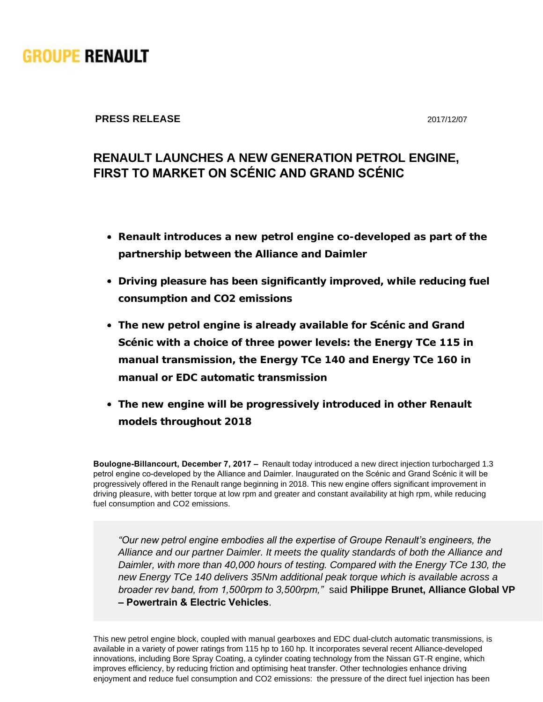

## **PRESS RELEASE** 2017/12/07

## **RENAULT LAUNCHES A NEW GENERATION PETROL ENGINE, FIRST TO MARKET ON SCÉNIC AND GRAND SCÉNIC**

- **Renault introduces a new petrol engine co-developed as part of the partnership between the Alliance and Daimler**
- **Driving pleasure has been significantly improved, while reducing fuel consumption and CO2 emissions**
- **The new petrol engine is already available for Scénic and Grand Scénic with a choice of three power levels: the Energy TCe 115 in manual transmission, the Energy TCe 140 and Energy TCe 160 in manual or EDC automatic transmission**
- **The new engine will be progressively introduced in other Renault models throughout 2018**

**Boulogne-Billancourt, December 7, 2017 –** Renault today introduced a new direct injection turbocharged 1.3 petrol engine co-developed by the Alliance and Daimler. Inaugurated on the Scénic and Grand Scénic it will be progressively offered in the Renault range beginning in 2018. This new engine offers significant improvement in driving pleasure, with better torque at low rpm and greater and constant availability at high rpm, while reducing fuel consumption and CO2 emissions.

*"Our new petrol engine embodies all the expertise of Groupe Renault's engineers, the Alliance and our partner Daimler. It meets the quality standards of both the Alliance and Daimler, with more than 40,000 hours of testing. Compared with the Energy TCe 130, the new Energy TCe 140 delivers 35Nm additional peak torque which is available across a broader rev band, from 1,500rpm to 3,500rpm,"*  said **Philippe Brunet, Alliance Global VP – Powertrain & Electric Vehicles**.

This new petrol engine block, coupled with manual gearboxes and EDC dual-clutch automatic transmissions, is available in a variety of power ratings from 115 hp to 160 hp. It incorporates several recent Alliance-developed innovations, including Bore Spray Coating, a cylinder coating technology from the Nissan GT-R engine, which improves efficiency, by reducing friction and optimising heat transfer. Other technologies enhance driving enjoyment and reduce fuel consumption and CO2 emissions: the pressure of the direct fuel injection has been